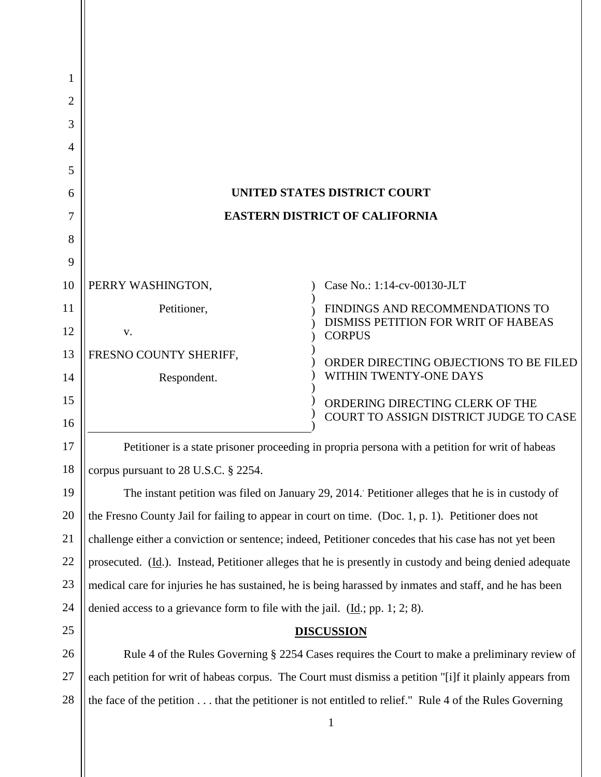| 1  |                                                                                                          |                                                                                         |
|----|----------------------------------------------------------------------------------------------------------|-----------------------------------------------------------------------------------------|
| 2  |                                                                                                          |                                                                                         |
| 3  |                                                                                                          |                                                                                         |
| 4  |                                                                                                          |                                                                                         |
| 5  |                                                                                                          |                                                                                         |
| 6  | UNITED STATES DISTRICT COURT                                                                             |                                                                                         |
| 7  | <b>EASTERN DISTRICT OF CALIFORNIA</b>                                                                    |                                                                                         |
| 8  |                                                                                                          |                                                                                         |
| 9  |                                                                                                          |                                                                                         |
| 10 | PERRY WASHINGTON,                                                                                        | Case No.: 1:14-cv-00130-JLT                                                             |
| 11 | Petitioner,                                                                                              | FINDINGS AND RECOMMENDATIONS TO<br>DISMISS PETITION FOR WRIT OF HABEAS<br><b>CORPUS</b> |
| 12 | V.                                                                                                       |                                                                                         |
| 13 | FRESNO COUNTY SHERIFF,                                                                                   | ORDER DIRECTING OBJECTIONS TO BE FILED                                                  |
| 14 | Respondent.                                                                                              | WITHIN TWENTY-ONE DAYS                                                                  |
| 15 |                                                                                                          | ORDERING DIRECTING CLERK OF THE                                                         |
| 16 |                                                                                                          | COURT TO ASSIGN DISTRICT JUDGE TO CASE                                                  |
| 17 | Petitioner is a state prisoner proceeding in propria persona with a petition for writ of habeas          |                                                                                         |
| 18 | corpus pursuant to $28$ U.S.C. $\S$ $2254$ .                                                             |                                                                                         |
| 19 | The instant petition was filed on January 29, 2014. Petitioner alleges that he is in custody of          |                                                                                         |
| 20 | the Fresno County Jail for failing to appear in court on time. (Doc. 1, p. 1). Petitioner does not       |                                                                                         |
| 21 | challenge either a conviction or sentence; indeed, Petitioner concedes that his case has not yet been    |                                                                                         |
| 22 | prosecuted. (Id.). Instead, Petitioner alleges that he is presently in custody and being denied adequate |                                                                                         |
| 23 | medical care for injuries he has sustained, he is being harassed by inmates and staff, and he has been   |                                                                                         |
| 24 | denied access to a grievance form to file with the jail. $(\underline{Id}$ ; pp. 1; 2; 8).               |                                                                                         |
| 25 | <b>DISCUSSION</b>                                                                                        |                                                                                         |
| 26 | Rule 4 of the Rules Governing § 2254 Cases requires the Court to make a preliminary review of            |                                                                                         |
| 27 | each petition for writ of habeas corpus. The Court must dismiss a petition "[i]f it plainly appears from |                                                                                         |
| 28 | the face of the petition that the petitioner is not entitled to relief." Rule 4 of the Rules Governing   |                                                                                         |
|    | $\mathbf{1}$                                                                                             |                                                                                         |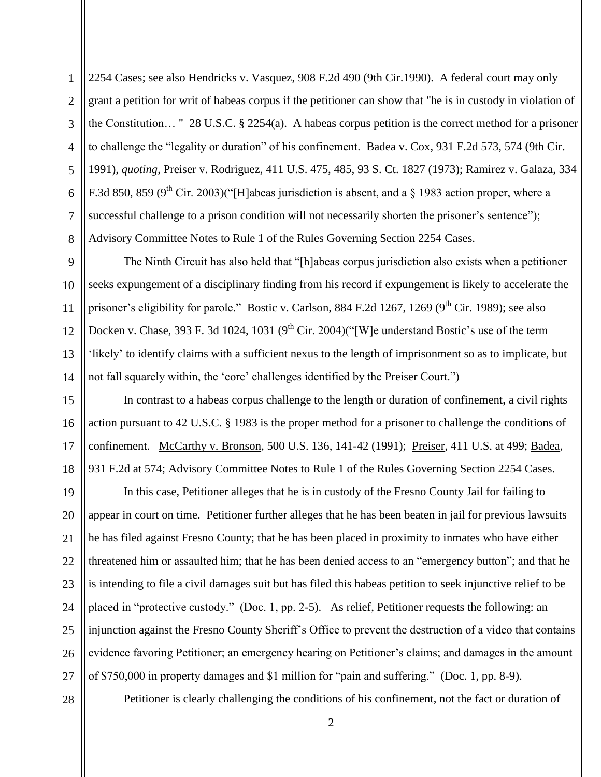2254 Cases; see also Hendricks v. Vasquez, 908 F.2d 490 (9th Cir.1990). A federal court may only grant a petition for writ of habeas corpus if the petitioner can show that "he is in custody in violation of the Constitution… " 28 U.S.C. § 2254(a). A habeas corpus petition is the correct method for a prisoner to challenge the "legality or duration" of his confinement. Badea v. Cox, 931 F.2d 573, 574 (9th Cir. 1991), *quoting*, Preiser v. Rodriguez, 411 U.S. 475, 485, 93 S. Ct. 1827 (1973); Ramirez v. Galaza, 334 F.3d 850, 859 (9<sup>th</sup> Cir. 2003)("[H]abeas jurisdiction is absent, and a  $\S$  1983 action proper, where a successful challenge to a prison condition will not necessarily shorten the prisoner's sentence"); Advisory Committee Notes to Rule 1 of the Rules Governing Section 2254 Cases.

The Ninth Circuit has also held that "[h]abeas corpus jurisdiction also exists when a petitioner seeks expungement of a disciplinary finding from his record if expungement is likely to accelerate the prisoner's eligibility for parole." Bostic v. Carlson, 884 F.2d 1267, 1269 (9<sup>th</sup> Cir. 1989); see also Docken v. Chase, 393 F. 3d 1024, 1031 ( $9<sup>th</sup>$  Cir. 2004)("[W]e understand Bostic's use of the term 'likely' to identify claims with a sufficient nexus to the length of imprisonment so as to implicate, but not fall squarely within, the 'core' challenges identified by the Preiser Court.")

15 16 17 18 In contrast to a habeas corpus challenge to the length or duration of confinement, a civil rights action pursuant to 42 U.S.C. § 1983 is the proper method for a prisoner to challenge the conditions of confinement. McCarthy v. Bronson, 500 U.S. 136, 141-42 (1991); Preiser, 411 U.S. at 499; Badea, 931 F.2d at 574; Advisory Committee Notes to Rule 1 of the Rules Governing Section 2254 Cases.

19 20 21 22 23 24 25 26 27 In this case, Petitioner alleges that he is in custody of the Fresno County Jail for failing to appear in court on time. Petitioner further alleges that he has been beaten in jail for previous lawsuits he has filed against Fresno County; that he has been placed in proximity to inmates who have either threatened him or assaulted him; that he has been denied access to an "emergency button"; and that he is intending to file a civil damages suit but has filed this habeas petition to seek injunctive relief to be placed in "protective custody." (Doc. 1, pp. 2-5). As relief, Petitioner requests the following: an injunction against the Fresno County Sheriff's Office to prevent the destruction of a video that contains evidence favoring Petitioner; an emergency hearing on Petitioner's claims; and damages in the amount of \$750,000 in property damages and \$1 million for "pain and suffering." (Doc. 1, pp. 8-9).

28

1

2

3

4

5

6

7

8

9

10

11

12

13

14

Petitioner is clearly challenging the conditions of his confinement, not the fact or duration of